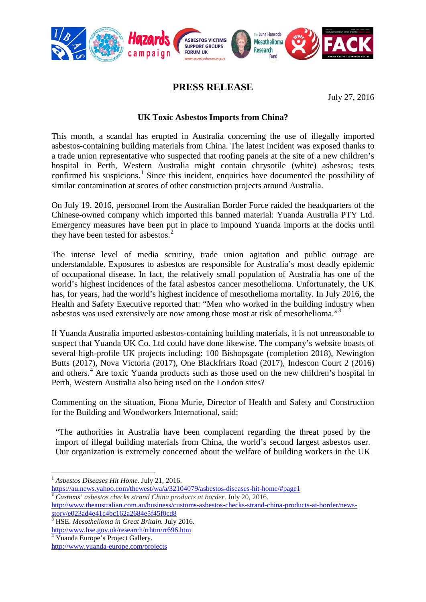

## **PRESS RELEASE**

July 27, 2016

## **UK Toxic Asbestos Imports from China?**

This month, a scandal has erupted in Australia concerning the use of illegally imported asbestos-containing building materials from China. The latest incident was exposed thanks to a trade union representative who suspected that roofing panels at the site of a new children's hospital in Perth, Western Australia might contain chrysotile (white) asbestos; tests confirmed his suspicions.<sup>[1](#page-0-0)</sup> Since this incident, enquiries have documented the possibility of similar contamination at scores of other construction projects around Australia.

On July 19, 2016, personnel from the Australian Border Force raided the headquarters of the Chinese-owned company which imported this banned material: Yuanda Australia PTY Ltd. Emergency measures have been put in place to impound Yuanda imports at the docks until they have been tested for asbestos. $<sup>2</sup>$  $<sup>2</sup>$  $<sup>2</sup>$ </sup>

The intense level of media scrutiny, trade union agitation and public outrage are understandable. Exposures to asbestos are responsible for Australia's most deadly epidemic of occupational disease. In fact, the relatively small population of Australia has one of the world's highest incidences of the fatal asbestos cancer mesothelioma. Unfortunately, the UK has, for years, had the world's highest incidence of mesothelioma mortality. In July 2016, the Health and Safety Executive reported that: "Men who worked in the building industry when asbestos was used extensively are now among those most at risk of mesothelioma."[3](#page-0-2)

If Yuanda Australia imported asbestos-containing building materials, it is not unreasonable to suspect that Yuanda UK Co. Ltd could have done likewise. The company's website boasts of several high-profile UK projects including: 100 Bishopsgate (completion 2018), Newington Butts (2017), Nova Victoria (2017), One Blackfriars Road (2017), Indescon Court 2 (2016) and others.[4](#page-0-3) Are toxic Yuanda products such as those used on the new children's hospital in Perth, Western Australia also being used on the London sites?

Commenting on the situation, Fiona Murie, Director of Health and Safety and Construction for the Building and Woodworkers International, said:

"The authorities in Australia have been complacent regarding the threat posed by the import of illegal building materials from China, the world's second largest asbestos user. Our organization is extremely concerned about the welfare of building workers in the UK

<span id="page-0-1"></span>[http://www.theaustralian.com.au/business/customs-asbestos-checks-strand-china-products-at-border/news-](http://www.theaustralian.com.au/business/customs-asbestos-checks-strand-china-products-at-border/news-story/e023ad4e41c4bc162a2684e5f45f0cd8)

<span id="page-0-2"></span><http://www.hse.gov.uk/research/rrhtm/rr696.htm> <sup>4</sup> Yuanda Europe's Project Gallery.

 <sup>1</sup> *Asbestos Diseases Hit Home*. July 21, 2016.

<span id="page-0-0"></span><https://au.news.yahoo.com/thewest/wa/a/32104079/asbestos-diseases-hit-home/#page1> **<sup>2</sup>** *Customs' asbestos checks strand China products at border*. July 20, 2016.

[story/e023ad4e41c4bc162a2684e5f45f0cd8](http://www.theaustralian.com.au/business/customs-asbestos-checks-strand-china-products-at-border/news-story/e023ad4e41c4bc162a2684e5f45f0cd8) <sup>3</sup> HSE. *Mesothelioma in Great Britain.* July 2016.

<span id="page-0-3"></span><http://www.yuanda-europe.com/projects>